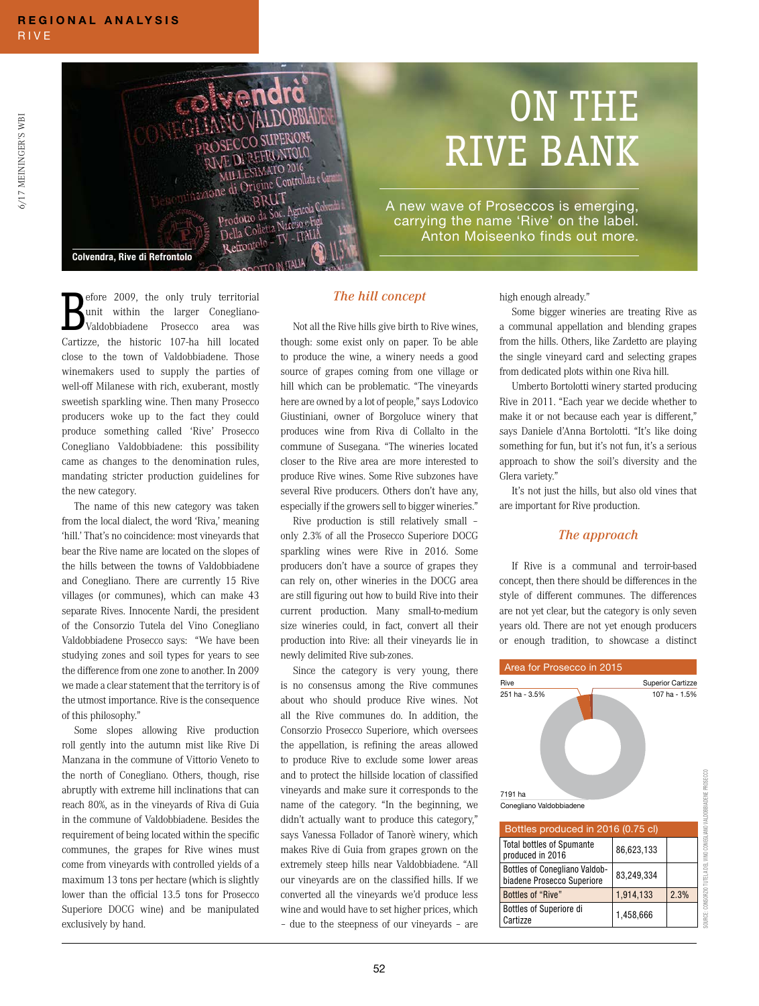6/17 MEININGER'S WBI

5/17 MEININGER'S WBI



## ON THE RIVE BANK

A new wave of Proseccos is emerging, carrying the name 'Rive' on the label. Anton Moiseenko finds out more.

Colvendra, Rive di Refrontolo

**B**efore 2009, the only truly territorial<br>
validobbiadene Prosecco area was<br>
Cartizze, the historic 107-ha hill located efore 2009, the only truly territorial unit within the larger Conegliano-Valdobbiadene Prosecco area was close to the town of Valdobbiadene. Those winemakers used to supply the parties of well-off Milanese with rich, exuberant, mostly sweetish sparkling wine. Then many Prosecco producers woke up to the fact they could produce something called 'Rive' Prosecco Conegliano Valdobbiadene: this possibility came as changes to the denomination rules, mandating stricter production guidelines for the new category.

The name of this new category was taken from the local dialect, the word 'Riva,' meaning 'hill.' That's no coincidence: most vineyards that bear the Rive name are located on the slopes of the hills between the towns of Valdobbiadene and Conegliano. There are currently 15 Rive villages (or communes), which can make 43 separate Rives. Innocente Nardi, the president of the Consorzio Tutela del Vino Conegliano Valdobbiadene Prosecco says: "We have been studying zones and soil types for years to see the difference from one zone to another. In 2009 we made a clear statement that the territory is of the utmost importance. Rive is the consequence of this philosophy."

Some slopes allowing Rive production roll gently into the autumn mist like Rive Di Manzana in the commune of Vittorio Veneto to the north of Conegliano. Others, though, rise abruptly with extreme hill inclinations that can reach 80%, as in the vineyards of Riva di Guia in the commune of Valdobbiadene. Besides the requirement of being located within the specific communes, the grapes for Rive wines must come from vineyards with controlled yields of a maximum 13 tons per hectare (which is slightly lower than the official 13.5 tons for Prosecco Superiore DOCG wine) and be manipulated exclusively by hand.

## *The hill concept*

Not all the Rive hills give birth to Rive wines, though: some exist only on paper. To be able to produce the wine, a winery needs a good source of grapes coming from one village or hill which can be problematic. "The vineyards here are owned by a lot of people," says Lodovico Giustiniani, owner of Borgoluce winery that produces wine from Riva di Collalto in the commune of Susegana. "The wineries located closer to the Rive area are more interested to produce Rive wines. Some Rive subzones have several Rive producers. Others don't have any, especially if the growers sell to bigger wineries."

Rive production is still relatively small – only 2.3% of all the Prosecco Superiore DOCG sparkling wines were Rive in 2016. Some producers don't have a source of grapes they can rely on, other wineries in the DOCG area are still figuring out how to build Rive into their current production. Many small-to-medium size wineries could, in fact, convert all their production into Rive: all their vineyards lie in newly delimited Rive sub-zones.

Since the category is very young, there is no consensus among the Rive communes about who should produce Rive wines. Not all the Rive communes do. In addition, the Consorzio Prosecco Superiore, which oversees the appellation, is refining the areas allowed to produce Rive to exclude some lower areas and to protect the hillside location of classified vineyards and make sure it corresponds to the name of the category. "In the beginning, we didn't actually want to produce this category," says Vanessa Follador of Tanorè winery, which makes Rive di Guia from grapes grown on the extremely steep hills near Valdobbiadene. "All our vineyards are on the classified hills. If we converted all the vineyards we'd produce less wine and would have to set higher prices, which – due to the steepness of our vineyards – are

high enough already."

Some bigger wineries are treating Rive as a communal appellation and blending grapes from the hills. Others, like Zardetto are playing the single vineyard card and selecting grapes from dedicated plots within one Riva hill.

Umberto Bortolotti winery started producing Rive in 2011. "Each year we decide whether to make it or not because each year is different," says Daniele d'Anna Bortolotti. "It's like doing something for fun, but it's not fun, it's a serious approach to show the soil's diversity and the Glera variety."

It's not just the hills, but also old vines that are important for Rive production.

## *The approach*

If Rive is a communal and terroir-based concept, then there should be differences in the style of different communes. The differences are not yet clear, but the category is only seven years old. There are not yet enough producers or enough tradition, to showcase a distinct